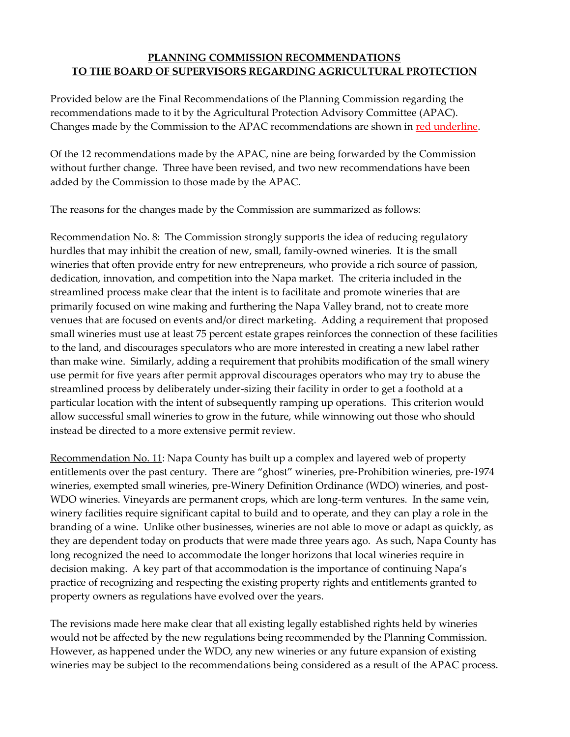## **PLANNING COMMISSION RECOMMENDATIONS TO THE BOARD OF SUPERVISORS REGARDING AGRICULTURAL PROTECTION**

Provided below are the Final Recommendations of the Planning Commission regarding the recommendations made to it by the Agricultural Protection Advisory Committee (APAC). Changes made by the Commission to the APAC recommendations are shown in red underline.

Of the 12 recommendations made by the APAC, nine are being forwarded by the Commission without further change. Three have been revised, and two new recommendations have been added by the Commission to those made by the APAC.

The reasons for the changes made by the Commission are summarized as follows:

Recommendation No. 8: The Commission strongly supports the idea of reducing regulatory hurdles that may inhibit the creation of new, small, family-owned wineries. It is the small wineries that often provide entry for new entrepreneurs, who provide a rich source of passion, dedication, innovation, and competition into the Napa market. The criteria included in the streamlined process make clear that the intent is to facilitate and promote wineries that are primarily focused on wine making and furthering the Napa Valley brand, not to create more venues that are focused on events and/or direct marketing. Adding a requirement that proposed small wineries must use at least 75 percent estate grapes reinforces the connection of these facilities to the land, and discourages speculators who are more interested in creating a new label rather than make wine. Similarly, adding a requirement that prohibits modification of the small winery use permit for five years after permit approval discourages operators who may try to abuse the streamlined process by deliberately under-sizing their facility in order to get a foothold at a particular location with the intent of subsequently ramping up operations. This criterion would allow successful small wineries to grow in the future, while winnowing out those who should instead be directed to a more extensive permit review.

Recommendation No. 11: Napa County has built up a complex and layered web of property entitlements over the past century. There are "ghost" wineries, pre-Prohibition wineries, pre-1974 wineries, exempted small wineries, pre-Winery Definition Ordinance (WDO) wineries, and post-WDO wineries. Vineyards are permanent crops, which are long-term ventures. In the same vein, winery facilities require significant capital to build and to operate, and they can play a role in the branding of a wine. Unlike other businesses, wineries are not able to move or adapt as quickly, as they are dependent today on products that were made three years ago. As such, Napa County has long recognized the need to accommodate the longer horizons that local wineries require in decision making. A key part of that accommodation is the importance of continuing Napa's practice of recognizing and respecting the existing property rights and entitlements granted to property owners as regulations have evolved over the years.

The revisions made here make clear that all existing legally established rights held by wineries would not be affected by the new regulations being recommended by the Planning Commission. However, as happened under the WDO, any new wineries or any future expansion of existing wineries may be subject to the recommendations being considered as a result of the APAC process.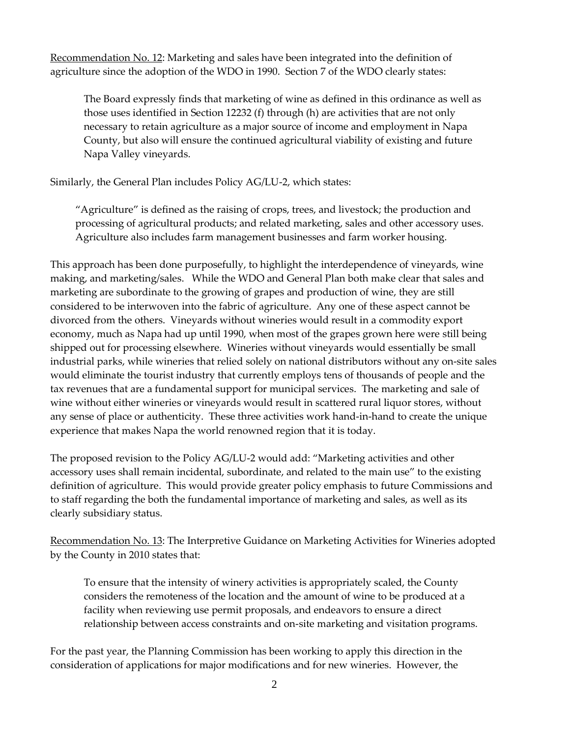Recommendation No. 12: Marketing and sales have been integrated into the definition of agriculture since the adoption of the WDO in 1990. Section 7 of the WDO clearly states:

The Board expressly finds that marketing of wine as defined in this ordinance as well as those uses identified in Section 12232 (f) through (h) are activities that are not only necessary to retain agriculture as a major source of income and employment in Napa County, but also will ensure the continued agricultural viability of existing and future Napa Valley vineyards.

Similarly, the General Plan includes Policy AG/LU-2, which states:

"Agriculture" is defined as the raising of crops, trees, and livestock; the production and processing of agricultural products; and related marketing, sales and other accessory uses. Agriculture also includes farm management businesses and farm worker housing.

This approach has been done purposefully, to highlight the interdependence of vineyards, wine making, and marketing/sales. While the WDO and General Plan both make clear that sales and marketing are subordinate to the growing of grapes and production of wine, they are still considered to be interwoven into the fabric of agriculture. Any one of these aspect cannot be divorced from the others. Vineyards without wineries would result in a commodity export economy, much as Napa had up until 1990, when most of the grapes grown here were still being shipped out for processing elsewhere. Wineries without vineyards would essentially be small industrial parks, while wineries that relied solely on national distributors without any on-site sales would eliminate the tourist industry that currently employs tens of thousands of people and the tax revenues that are a fundamental support for municipal services. The marketing and sale of wine without either wineries or vineyards would result in scattered rural liquor stores, without any sense of place or authenticity. These three activities work hand-in-hand to create the unique experience that makes Napa the world renowned region that it is today.

The proposed revision to the Policy AG/LU-2 would add: "Marketing activities and other accessory uses shall remain incidental, subordinate, and related to the main use" to the existing definition of agriculture. This would provide greater policy emphasis to future Commissions and to staff regarding the both the fundamental importance of marketing and sales, as well as its clearly subsidiary status.

Recommendation No. 13: The Interpretive Guidance on Marketing Activities for Wineries adopted by the County in 2010 states that:

To ensure that the intensity of winery activities is appropriately scaled, the County considers the remoteness of the location and the amount of wine to be produced at a facility when reviewing use permit proposals, and endeavors to ensure a direct relationship between access constraints and on-site marketing and visitation programs.

For the past year, the Planning Commission has been working to apply this direction in the consideration of applications for major modifications and for new wineries. However, the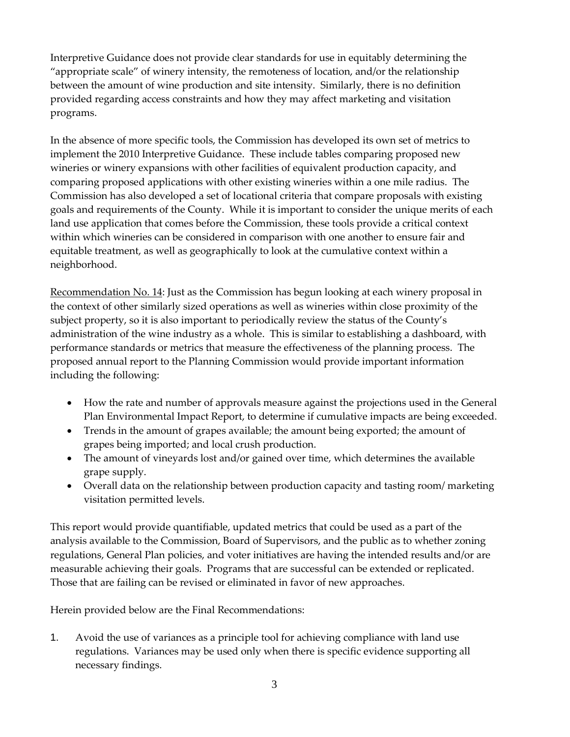Interpretive Guidance does not provide clear standards for use in equitably determining the "appropriate scale" of winery intensity, the remoteness of location, and/or the relationship between the amount of wine production and site intensity. Similarly, there is no definition provided regarding access constraints and how they may affect marketing and visitation programs.

In the absence of more specific tools, the Commission has developed its own set of metrics to implement the 2010 Interpretive Guidance. These include tables comparing proposed new wineries or winery expansions with other facilities of equivalent production capacity, and comparing proposed applications with other existing wineries within a one mile radius. The Commission has also developed a set of locational criteria that compare proposals with existing goals and requirements of the County. While it is important to consider the unique merits of each land use application that comes before the Commission, these tools provide a critical context within which wineries can be considered in comparison with one another to ensure fair and equitable treatment, as well as geographically to look at the cumulative context within a neighborhood.

Recommendation No. 14: Just as the Commission has begun looking at each winery proposal in the context of other similarly sized operations as well as wineries within close proximity of the subject property, so it is also important to periodically review the status of the County's administration of the wine industry as a whole. This is similar to establishing a dashboard, with performance standards or metrics that measure the effectiveness of the planning process. The proposed annual report to the Planning Commission would provide important information including the following:

- How the rate and number of approvals measure against the projections used in the General Plan Environmental Impact Report, to determine if cumulative impacts are being exceeded.
- Trends in the amount of grapes available; the amount being exported; the amount of grapes being imported; and local crush production.
- The amount of vineyards lost and/or gained over time, which determines the available grape supply.
- Overall data on the relationship between production capacity and tasting room/ marketing visitation permitted levels.

This report would provide quantifiable, updated metrics that could be used as a part of the analysis available to the Commission, Board of Supervisors, and the public as to whether zoning regulations, General Plan policies, and voter initiatives are having the intended results and/or are measurable achieving their goals. Programs that are successful can be extended or replicated. Those that are failing can be revised or eliminated in favor of new approaches.

Herein provided below are the Final Recommendations:

1. Avoid the use of variances as a principle tool for achieving compliance with land use regulations. Variances may be used only when there is specific evidence supporting all necessary findings.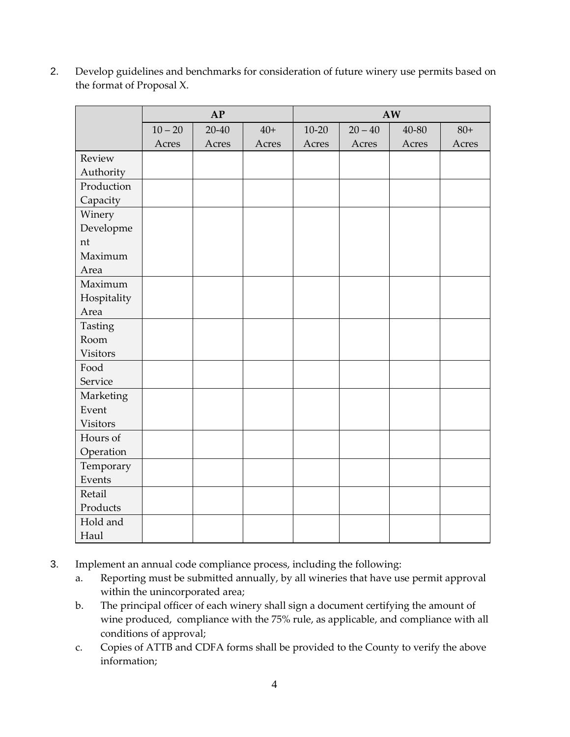2. Develop guidelines and benchmarks for consideration of future winery use permits based on the format of Proposal X.

|                 | AP        |           |       | AW        |           |       |       |  |
|-----------------|-----------|-----------|-------|-----------|-----------|-------|-------|--|
|                 | $10 - 20$ | $20 - 40$ | $40+$ | $10 - 20$ | $20 - 40$ | 40-80 | $80+$ |  |
|                 | Acres     | Acres     | Acres | Acres     | Acres     | Acres | Acres |  |
| Review          |           |           |       |           |           |       |       |  |
| Authority       |           |           |       |           |           |       |       |  |
| Production      |           |           |       |           |           |       |       |  |
| Capacity        |           |           |       |           |           |       |       |  |
| Winery          |           |           |       |           |           |       |       |  |
| Developme       |           |           |       |           |           |       |       |  |
| nt              |           |           |       |           |           |       |       |  |
| Maximum         |           |           |       |           |           |       |       |  |
| Area            |           |           |       |           |           |       |       |  |
| Maximum         |           |           |       |           |           |       |       |  |
| Hospitality     |           |           |       |           |           |       |       |  |
| Area            |           |           |       |           |           |       |       |  |
| Tasting         |           |           |       |           |           |       |       |  |
| Room            |           |           |       |           |           |       |       |  |
| <b>Visitors</b> |           |           |       |           |           |       |       |  |
| Food            |           |           |       |           |           |       |       |  |
| Service         |           |           |       |           |           |       |       |  |
| Marketing       |           |           |       |           |           |       |       |  |
| Event           |           |           |       |           |           |       |       |  |
| <b>Visitors</b> |           |           |       |           |           |       |       |  |
| Hours of        |           |           |       |           |           |       |       |  |
| Operation       |           |           |       |           |           |       |       |  |
| Temporary       |           |           |       |           |           |       |       |  |
| Events          |           |           |       |           |           |       |       |  |
| Retail          |           |           |       |           |           |       |       |  |
| Products        |           |           |       |           |           |       |       |  |
| Hold and        |           |           |       |           |           |       |       |  |
| Haul            |           |           |       |           |           |       |       |  |

- 3. Implement an annual code compliance process, including the following:
	- a. Reporting must be submitted annually, by all wineries that have use permit approval within the unincorporated area;
	- b. The principal officer of each winery shall sign a document certifying the amount of wine produced, compliance with the 75% rule, as applicable, and compliance with all conditions of approval;
	- c. Copies of ATTB and CDFA forms shall be provided to the County to verify the above information;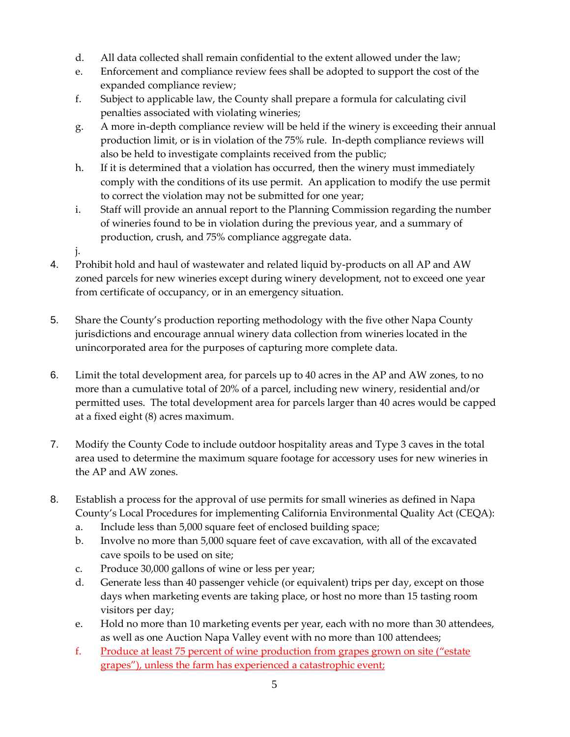- d. All data collected shall remain confidential to the extent allowed under the law;
- e. Enforcement and compliance review fees shall be adopted to support the cost of the expanded compliance review;
- f. Subject to applicable law, the County shall prepare a formula for calculating civil penalties associated with violating wineries;
- g. A more in-depth compliance review will be held if the winery is exceeding their annual production limit, or is in violation of the 75% rule. In-depth compliance reviews will also be held to investigate complaints received from the public;
- h. If it is determined that a violation has occurred, then the winery must immediately comply with the conditions of its use permit. An application to modify the use permit to correct the violation may not be submitted for one year;
- i. Staff will provide an annual report to the Planning Commission regarding the number of wineries found to be in violation during the previous year, and a summary of production, crush, and 75% compliance aggregate data.
- j.
- 4. Prohibit hold and haul of wastewater and related liquid by-products on all AP and AW zoned parcels for new wineries except during winery development, not to exceed one year from certificate of occupancy, or in an emergency situation.
- 5. Share the County's production reporting methodology with the five other Napa County jurisdictions and encourage annual winery data collection from wineries located in the unincorporated area for the purposes of capturing more complete data.
- 6. Limit the total development area, for parcels up to 40 acres in the AP and AW zones, to no more than a cumulative total of 20% of a parcel, including new winery, residential and/or permitted uses. The total development area for parcels larger than 40 acres would be capped at a fixed eight (8) acres maximum.
- 7. Modify the County Code to include outdoor hospitality areas and Type 3 caves in the total area used to determine the maximum square footage for accessory uses for new wineries in the AP and AW zones.
- 8. Establish a process for the approval of use permits for small wineries as defined in Napa County's Local Procedures for implementing California Environmental Quality Act (CEQA):
	- a. Include less than 5,000 square feet of enclosed building space;
	- b. Involve no more than 5,000 square feet of cave excavation, with all of the excavated cave spoils to be used on site;
	- c. Produce 30,000 gallons of wine or less per year;
	- d. Generate less than 40 passenger vehicle (or equivalent) trips per day, except on those days when marketing events are taking place, or host no more than 15 tasting room visitors per day;
	- e. Hold no more than 10 marketing events per year, each with no more than 30 attendees, as well as one Auction Napa Valley event with no more than 100 attendees;
	- f. Produce at least 75 percent of wine production from grapes grown on site ("estate grapes"), unless the farm has experienced a catastrophic event;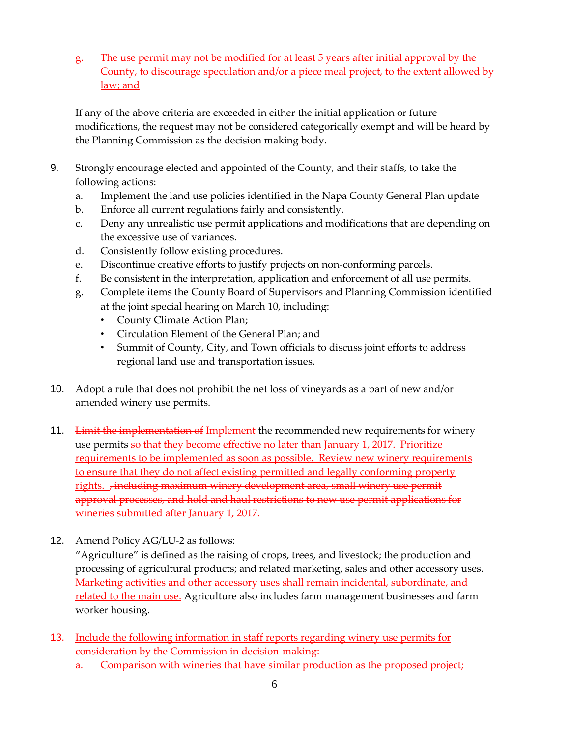g. The use permit may not be modified for at least 5 years after initial approval by the County, to discourage speculation and/or a piece meal project, to the extent allowed by law; and

If any of the above criteria are exceeded in either the initial application or future modifications, the request may not be considered categorically exempt and will be heard by the Planning Commission as the decision making body.

- 9. Strongly encourage elected and appointed of the County, and their staffs, to take the following actions:
	- a. Implement the land use policies identified in the Napa County General Plan update
	- b. Enforce all current regulations fairly and consistently.
	- c. Deny any unrealistic use permit applications and modifications that are depending on the excessive use of variances.
	- d. Consistently follow existing procedures.
	- e. Discontinue creative efforts to justify projects on non-conforming parcels.
	- f. Be consistent in the interpretation, application and enforcement of all use permits.
	- g. Complete items the County Board of Supervisors and Planning Commission identified at the joint special hearing on March 10, including:
		- County Climate Action Plan;
		- Circulation Element of the General Plan; and
		- Summit of County, City, and Town officials to discuss joint efforts to address regional land use and transportation issues.
- 10. Adopt a rule that does not prohibit the net loss of vineyards as a part of new and/or amended winery use permits.
- 11. Limit the implementation of Implement the recommended new requirements for winery use permits so that they become effective no later than January 1, 2017. Prioritize requirements to be implemented as soon as possible. Review new winery requirements to ensure that they do not affect existing permitted and legally conforming property rights. Fincluding maximum winery development area, small winery use permit approval processes, and hold and haul restrictions to new use permit applications for wineries submitted after January 1, 2017.
- 12. Amend Policy AG/LU-2 as follows:

"Agriculture" is defined as the raising of crops, trees, and livestock; the production and processing of agricultural products; and related marketing, sales and other accessory uses. Marketing activities and other accessory uses shall remain incidental, subordinate, and related to the main use. Agriculture also includes farm management businesses and farm worker housing.

- 13. Include the following information in staff reports regarding winery use permits for consideration by the Commission in decision-making:
	- a. Comparison with wineries that have similar production as the proposed project;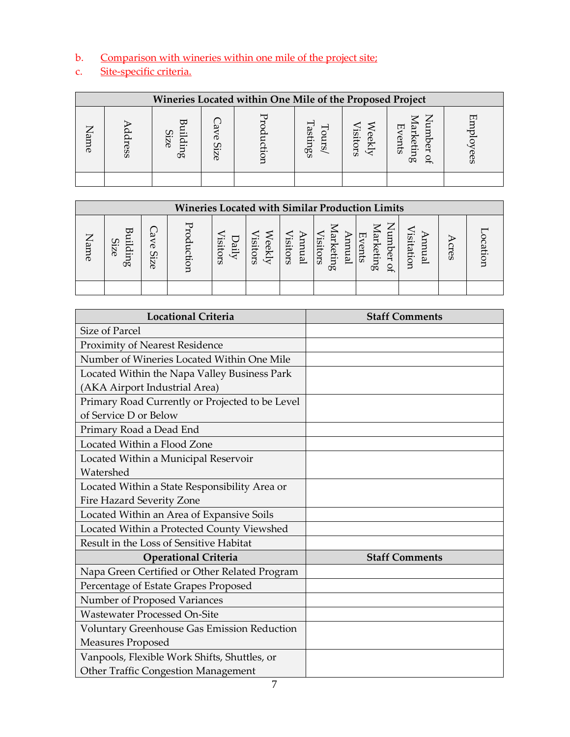b. Comparison with wineries within one mile of the project site;<br>c. Site-specific criteria.

## Site-specific criteria.

| Wineries Located within One Mile of the Proposed Project |          |                   |  |  |                |                 |                              |    |
|----------------------------------------------------------|----------|-------------------|--|--|----------------|-----------------|------------------------------|----|
| ⇁<br>am<br>$\sigma$                                      | $\sigma$ | Size<br>din<br>Ö۹ |  |  | setings<br>sin | isitor.<br>eek) | ā,<br>H<br>ents<br>etin<br>Œ | ┖┸ |
|                                                          |          |                   |  |  |                |                 |                              |    |

| <b>Wineries Located with Similar Production Limits</b> |                       |                                |  |                  |                             |                  |                                             |                                                                     |          |                    |        |
|--------------------------------------------------------|-----------------------|--------------------------------|--|------------------|-----------------------------|------------------|---------------------------------------------|---------------------------------------------------------------------|----------|--------------------|--------|
| ッ<br>Name                                              | ℼ<br>Size<br>Ħ.<br>Œ۵ | ω<br>$\sigma$<br>ပာ<br>⊷<br>9Z |  | 5<br>은.<br>itors | <i>isitor</i><br>eek<br>ωñ. | isitors<br>Inual | <i>lisitors</i><br>Έ<br>lanmal<br>etin<br>œ | ⇁<br>nm<br>ΆĽ<br>Œ,<br>ketin<br>ents<br>ber<br>$\mathfrak{g}$<br>Ö۹ | isitatic | ∺<br>ര<br>$\Omega$ | cation |
|                                                        |                       |                                |  |                  |                             |                  |                                             |                                                                     |          |                    |        |

| <b>Locational Criteria</b>                      | <b>Staff Comments</b> |
|-------------------------------------------------|-----------------------|
| Size of Parcel                                  |                       |
| <b>Proximity of Nearest Residence</b>           |                       |
| Number of Wineries Located Within One Mile      |                       |
| Located Within the Napa Valley Business Park    |                       |
| (AKA Airport Industrial Area)                   |                       |
| Primary Road Currently or Projected to be Level |                       |
| of Service D or Below                           |                       |
| Primary Road a Dead End                         |                       |
| Located Within a Flood Zone                     |                       |
| Located Within a Municipal Reservoir            |                       |
| Watershed                                       |                       |
| Located Within a State Responsibility Area or   |                       |
| Fire Hazard Severity Zone                       |                       |
| Located Within an Area of Expansive Soils       |                       |
| Located Within a Protected County Viewshed      |                       |
| Result in the Loss of Sensitive Habitat         |                       |
| <b>Operational Criteria</b>                     | <b>Staff Comments</b> |
| Napa Green Certified or Other Related Program   |                       |
| Percentage of Estate Grapes Proposed            |                       |
| Number of Proposed Variances                    |                       |
| <b>Wastewater Processed On-Site</b>             |                       |
| Voluntary Greenhouse Gas Emission Reduction     |                       |
| Measures Proposed                               |                       |
| Vanpools, Flexible Work Shifts, Shuttles, or    |                       |
| <b>Other Traffic Congestion Management</b>      |                       |